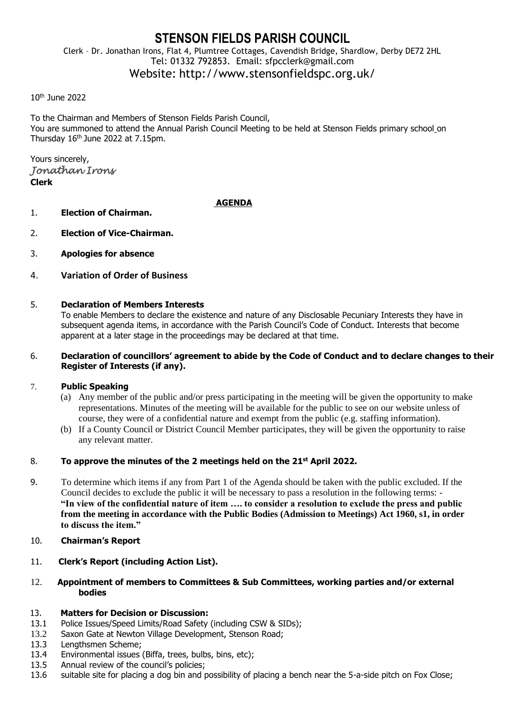# **STENSON FIELDS PARISH COUNCIL**

Clerk – Dr. Jonathan Irons, Flat 4, Plumtree Cottages, Cavendish Bridge, Shardlow, Derby DE72 2HL Tel: 01332 792853. Email: sfpcclerk@gmail.com Website: http://www.stensonfieldspc.org.uk/

#### 10th June 2022

To the Chairman and Members of Stenson Fields Parish Council, You are summoned to attend the Annual Parish Council Meeting to be held at Stenson Fields primary school on Thursday 16<sup>th</sup> June 2022 at 7.15pm.

Yours sincerely, *Jonathan Irons*  **Clerk**

#### **AGENDA**

- 1. **Election of Chairman.**
- 2. **Election of Vice-Chairman.**
- 3. **Apologies for absence**
- 4. **Variation of Order of Business**

## 5. **Declaration of Members Interests**

To enable Members to declare the existence and nature of any Disclosable Pecuniary Interests they have in subsequent agenda items, in accordance with the Parish Council's Code of Conduct. Interests that become apparent at a later stage in the proceedings may be declared at that time.

#### 6. **Declaration of councillors' agreement to abide by the Code of Conduct and to declare changes to their Register of Interests (if any).**

#### 7. **Public Speaking**

- (a) Any member of the public and/or press participating in the meeting will be given the opportunity to make representations. Minutes of the meeting will be available for the public to see on our website unless of course, they were of a confidential nature and exempt from the public (e.g. staffing information).
- (b) If a County Council or District Council Member participates, they will be given the opportunity to raise any relevant matter.

#### 8. **To approve the minutes of the 2 meetings held on the 21st April 2022.**

- 9. To determine which items if any from Part 1 of the Agenda should be taken with the public excluded. If the Council decides to exclude the public it will be necessary to pass a resolution in the following terms: - **"In view of the confidential nature of item …. to consider a resolution to exclude the press and public from the meeting in accordance with the Public Bodies (Admission to Meetings) Act 1960, s1, in order to discuss the item."**
- 10. **Chairman's Report**
- 11. **Clerk's Report (including Action List).**
- 12. **Appointment of members to Committees & Sub Committees, working parties and/or external bodies**

#### 13. **Matters for Decision or Discussion:**

- 13.1 Police Issues/Speed Limits/Road Safety (including CSW & SIDs);
- 13.2 Saxon Gate at Newton Village Development, Stenson Road;
- 13.3 Lengthsmen Scheme;
- 13.4 Environmental issues (Biffa, trees, bulbs, bins, etc);
- 13.5 Annual review of the council's policies;
- 13.6 suitable site for placing a dog bin and possibility of placing a bench near the 5-a-side pitch on Fox Close;